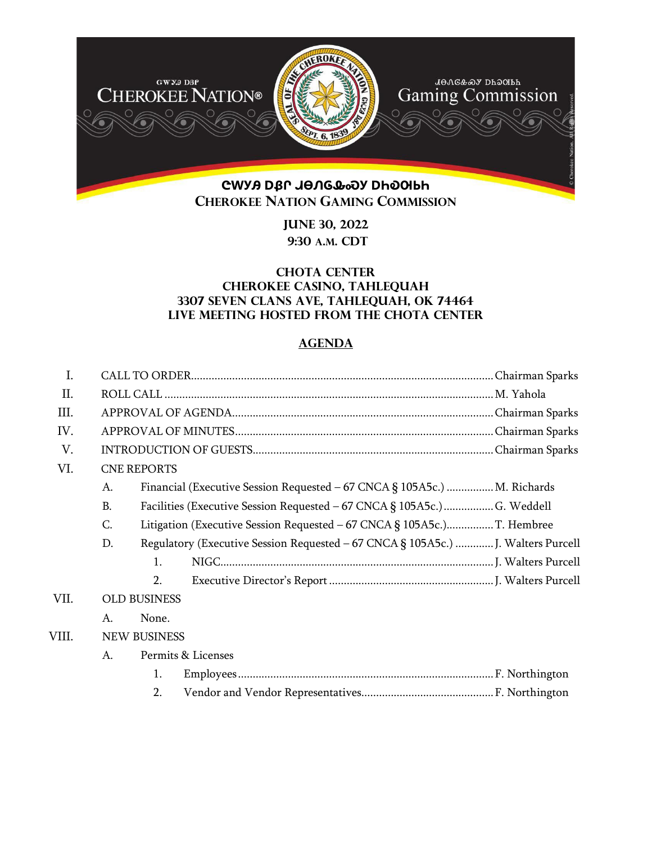

**June 30, 2022 9:30 A.M. CDT** 

## **CHOTA CENTER Cherokee Casino, Tahlequah 3307 Seven Clans Ave, Tahlequah, OK 74464 Live meeting hosted from the chota center**

## **AGENDA**

| I.    |                     |                                                                          |                                                                                  |  |  |
|-------|---------------------|--------------------------------------------------------------------------|----------------------------------------------------------------------------------|--|--|
| Π.    |                     |                                                                          |                                                                                  |  |  |
| III.  |                     |                                                                          |                                                                                  |  |  |
| IV.   |                     |                                                                          |                                                                                  |  |  |
| V.    |                     |                                                                          |                                                                                  |  |  |
| VI.   | <b>CNE REPORTS</b>  |                                                                          |                                                                                  |  |  |
|       | A.                  |                                                                          | Financial (Executive Session Requested – 67 CNCA § 105A5c.)  M. Richards         |  |  |
|       | <b>B.</b>           | Facilities (Executive Session Requested - 67 CNCA § 105A5c.)  G. Weddell |                                                                                  |  |  |
|       | C.                  |                                                                          |                                                                                  |  |  |
|       | D.                  |                                                                          | Regulatory (Executive Session Requested - 67 CNCA § 105A5c.)  J. Walters Purcell |  |  |
|       |                     | $\mathbf{1}$ .                                                           |                                                                                  |  |  |
|       |                     | 2.                                                                       |                                                                                  |  |  |
| VII.  | <b>OLD BUSINESS</b> |                                                                          |                                                                                  |  |  |
|       | A.                  | None.                                                                    |                                                                                  |  |  |
| VIII. | <b>NEW BUSINESS</b> |                                                                          |                                                                                  |  |  |
|       | A.                  | Permits & Licenses                                                       |                                                                                  |  |  |
|       |                     | 1.                                                                       |                                                                                  |  |  |
|       |                     | 2.                                                                       |                                                                                  |  |  |